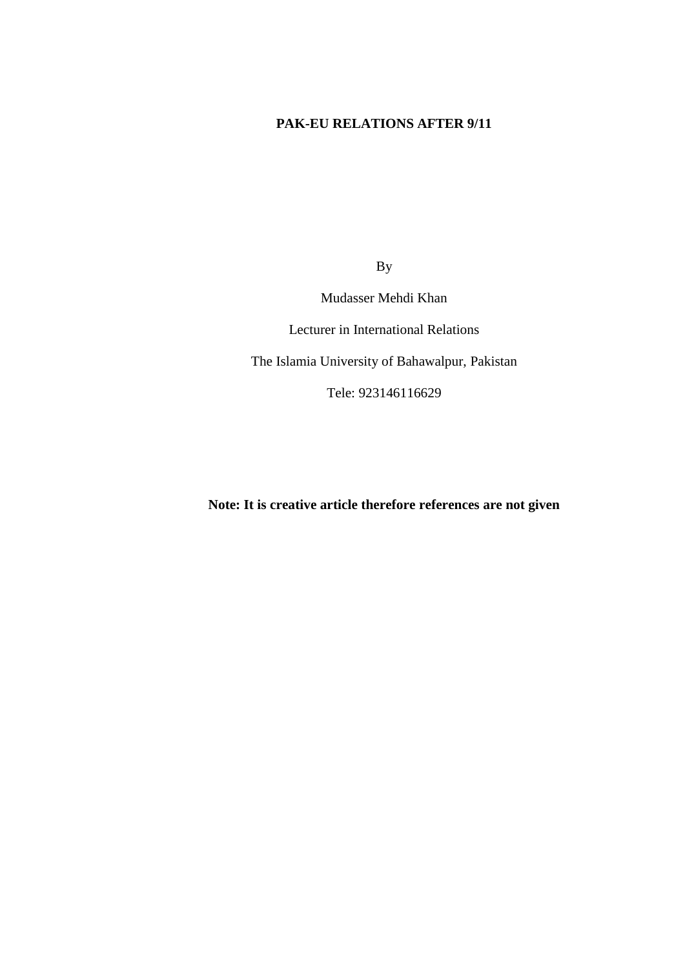## **PAK-EU RELATIONS AFTER 9/11**

By

Mudasser Mehdi Khan

Lecturer in International Relations

The Islamia University of Bahawalpur, Pakistan

Tele: 923146116629

**Note: It is creative article therefore references are not given**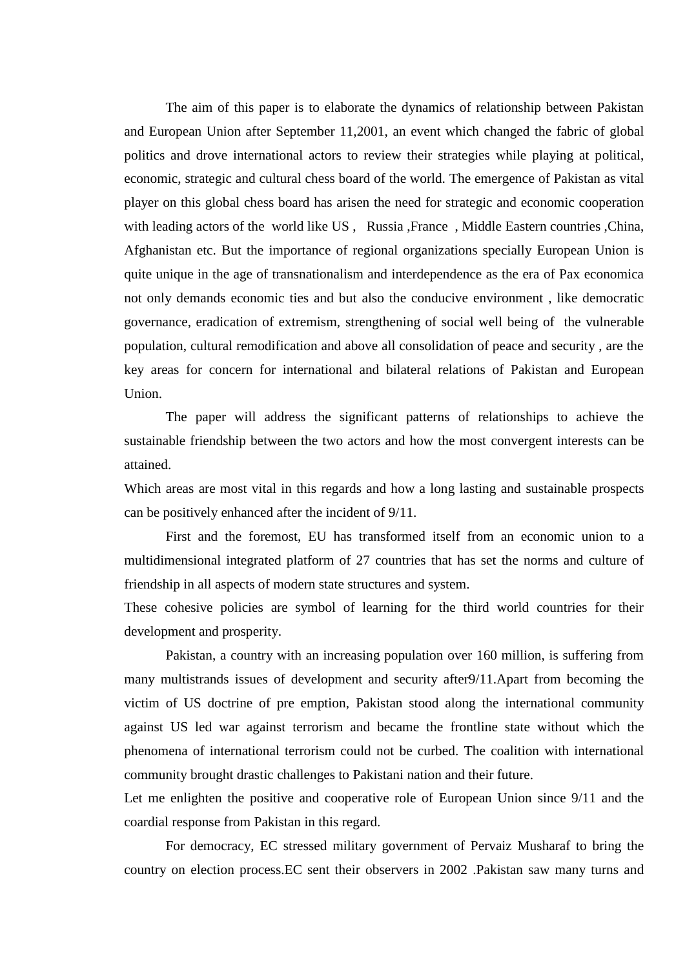The aim of this paper is to elaborate the dynamics of relationship between Pakistan and European Union after September 11,2001, an event which changed the fabric of global politics and drove international actors to review their strategies while playing at political, economic, strategic and cultural chess board of the world. The emergence of Pakistan as vital player on this global chess board has arisen the need for strategic and economic cooperation with leading actors of the world like US, Russia, France, Middle Eastern countries, China, Afghanistan etc. But the importance of regional organizations specially European Union is quite unique in the age of transnationalism and interdependence as the era of Pax economica not only demands economic ties and but also the conducive environment , like democratic governance, eradication of extremism, strengthening of social well being of the vulnerable population, cultural remodification and above all consolidation of peace and security , are the key areas for concern for international and bilateral relations of Pakistan and European Union.

The paper will address the significant patterns of relationships to achieve the sustainable friendship between the two actors and how the most convergent interests can be attained.

Which areas are most vital in this regards and how a long lasting and sustainable prospects can be positively enhanced after the incident of 9/11.

First and the foremost, EU has transformed itself from an economic union to a multidimensional integrated platform of 27 countries that has set the norms and culture of friendship in all aspects of modern state structures and system.

These cohesive policies are symbol of learning for the third world countries for their development and prosperity.

Pakistan, a country with an increasing population over 160 million, is suffering from many multistrands issues of development and security after9/11.Apart from becoming the victim of US doctrine of pre emption, Pakistan stood along the international community against US led war against terrorism and became the frontline state without which the phenomena of international terrorism could not be curbed. The coalition with international community brought drastic challenges to Pakistani nation and their future.

Let me enlighten the positive and cooperative role of European Union since 9/11 and the coardial response from Pakistan in this regard.

For democracy, EC stressed military government of Pervaiz Musharaf to bring the country on election process.EC sent their observers in 2002 .Pakistan saw many turns and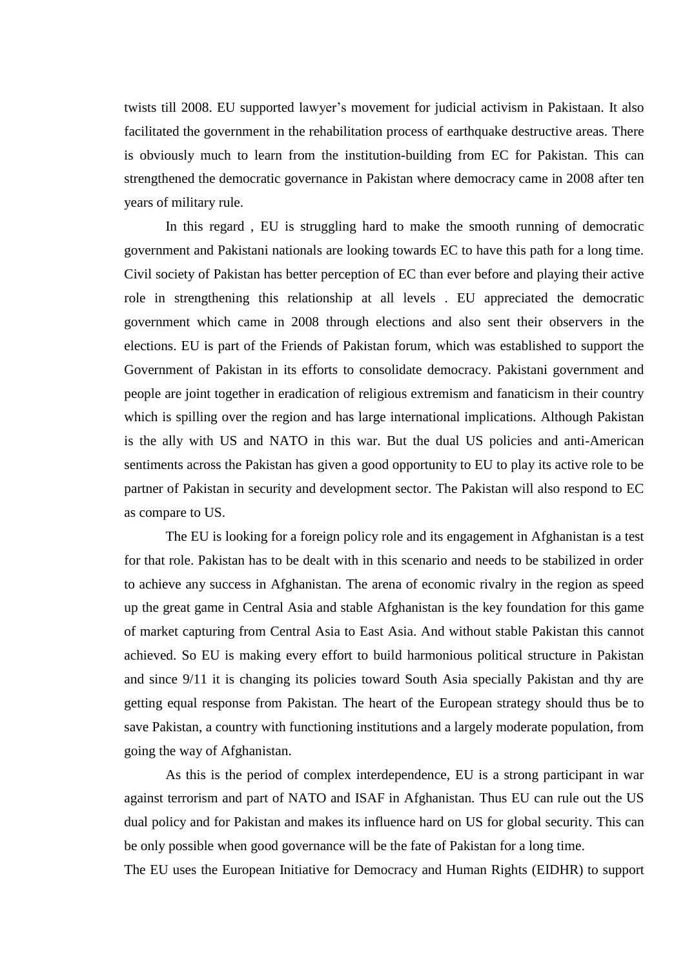twists till 2008. EU supported lawyer's movement for judicial activism in Pakistaan. It also facilitated the government in the rehabilitation process of earthquake destructive areas. There is obviously much to learn from the institution-building from EC for Pakistan. This can strengthened the democratic governance in Pakistan where democracy came in 2008 after ten years of military rule.

In this regard , EU is struggling hard to make the smooth running of democratic government and Pakistani nationals are looking towards EC to have this path for a long time. Civil society of Pakistan has better perception of EC than ever before and playing their active role in strengthening this relationship at all levels . EU appreciated the democratic government which came in 2008 through elections and also sent their observers in the elections. EU is part of the Friends of Pakistan forum, which was established to support the Government of Pakistan in its efforts to consolidate democracy. Pakistani government and people are joint together in eradication of religious extremism and fanaticism in their country which is spilling over the region and has large international implications. Although Pakistan is the ally with US and NATO in this war. But the dual US policies and anti-American sentiments across the Pakistan has given a good opportunity to EU to play its active role to be partner of Pakistan in security and development sector. The Pakistan will also respond to EC as compare to US.

The EU is looking for a foreign policy role and its engagement in Afghanistan is a test for that role. Pakistan has to be dealt with in this scenario and needs to be stabilized in order to achieve any success in Afghanistan. The arena of economic rivalry in the region as speed up the great game in Central Asia and stable Afghanistan is the key foundation for this game of market capturing from Central Asia to East Asia. And without stable Pakistan this cannot achieved. So EU is making every effort to build harmonious political structure in Pakistan and since 9/11 it is changing its policies toward South Asia specially Pakistan and thy are getting equal response from Pakistan. The heart of the European strategy should thus be to save Pakistan, a country with functioning institutions and a largely moderate population, from going the way of Afghanistan.

As this is the period of complex interdependence, EU is a strong participant in war against terrorism and part of NATO and ISAF in Afghanistan. Thus EU can rule out the US dual policy and for Pakistan and makes its influence hard on US for global security. This can be only possible when good governance will be the fate of Pakistan for a long time.

The EU uses the European Initiative for Democracy and Human Rights (EIDHR) to support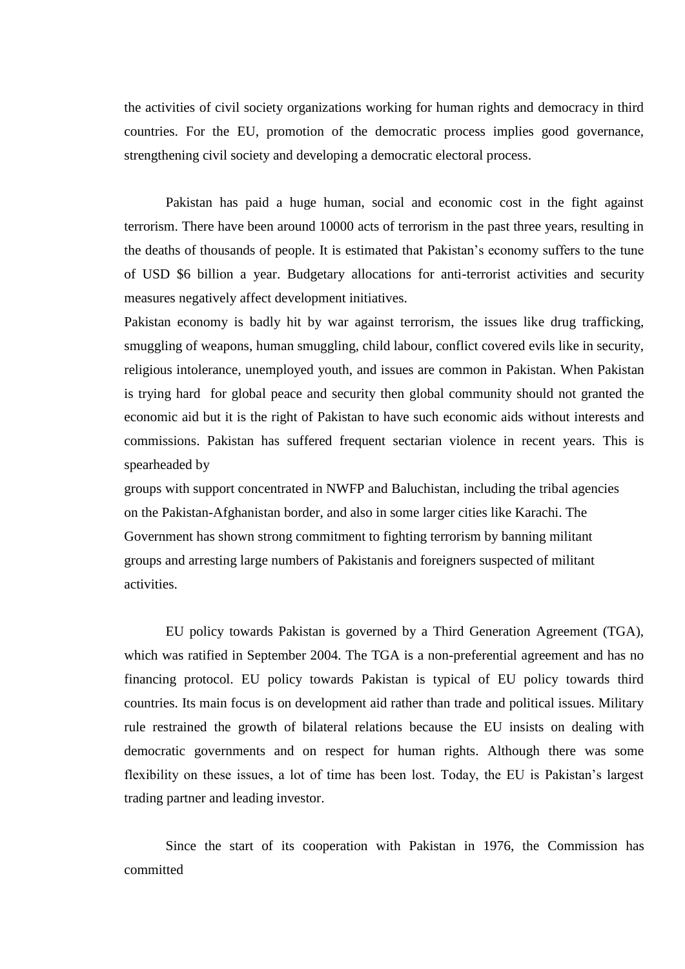the activities of civil society organizations working for human rights and democracy in third countries. For the EU, promotion of the democratic process implies good governance, strengthening civil society and developing a democratic electoral process.

Pakistan has paid a huge human, social and economic cost in the fight against terrorism. There have been around 10000 acts of terrorism in the past three years, resulting in the deaths of thousands of people. It is estimated that Pakistan's economy suffers to the tune of USD \$6 billion a year. Budgetary allocations for anti-terrorist activities and security measures negatively affect development initiatives.

Pakistan economy is badly hit by war against terrorism, the issues like drug trafficking, smuggling of weapons, human smuggling, child labour, conflict covered evils like in security, religious intolerance, unemployed youth, and issues are common in Pakistan. When Pakistan is trying hard for global peace and security then global community should not granted the economic aid but it is the right of Pakistan to have such economic aids without interests and commissions. Pakistan has suffered frequent sectarian violence in recent years. This is spearheaded by

groups with support concentrated in NWFP and Baluchistan, including the tribal agencies on the Pakistan-Afghanistan border, and also in some larger cities like Karachi. The Government has shown strong commitment to fighting terrorism by banning militant groups and arresting large numbers of Pakistanis and foreigners suspected of militant activities.

EU policy towards Pakistan is governed by a Third Generation Agreement (TGA), which was ratified in September 2004. The TGA is a non-preferential agreement and has no financing protocol. EU policy towards Pakistan is typical of EU policy towards third countries. Its main focus is on development aid rather than trade and political issues. Military rule restrained the growth of bilateral relations because the EU insists on dealing with democratic governments and on respect for human rights. Although there was some flexibility on these issues, a lot of time has been lost. Today, the EU is Pakistan's largest trading partner and leading investor.

Since the start of its cooperation with Pakistan in 1976, the Commission has committed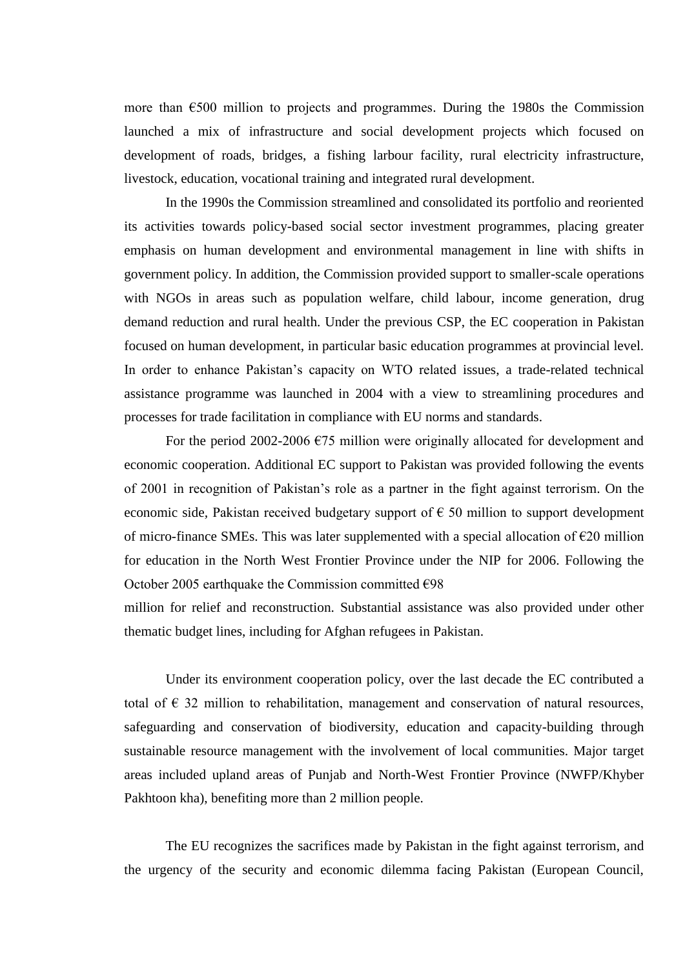more than  $\epsilon$ 500 million to projects and programmes. During the 1980s the Commission launched a mix of infrastructure and social development projects which focused on development of roads, bridges, a fishing larbour facility, rural electricity infrastructure, livestock, education, vocational training and integrated rural development.

In the 1990s the Commission streamlined and consolidated its portfolio and reoriented its activities towards policy-based social sector investment programmes, placing greater emphasis on human development and environmental management in line with shifts in government policy. In addition, the Commission provided support to smaller-scale operations with NGOs in areas such as population welfare, child labour, income generation, drug demand reduction and rural health. Under the previous CSP, the EC cooperation in Pakistan focused on human development, in particular basic education programmes at provincial level. In order to enhance Pakistan's capacity on WTO related issues, a trade-related technical assistance programme was launched in 2004 with a view to streamlining procedures and processes for trade facilitation in compliance with EU norms and standards.

For the period 2002-2006  $\epsilon$ 75 million were originally allocated for development and economic cooperation. Additional EC support to Pakistan was provided following the events of 2001 in recognition of Pakistan's role as a partner in the fight against terrorism. On the economic side, Pakistan received budgetary support of  $\epsilon$  50 million to support development of micro-finance SMEs. This was later supplemented with a special allocation of  $\epsilon$ 20 million for education in the North West Frontier Province under the NIP for 2006. Following the October 2005 earthquake the Commission committed  $\epsilon$ 98

million for relief and reconstruction. Substantial assistance was also provided under other thematic budget lines, including for Afghan refugees in Pakistan.

Under its environment cooperation policy, over the last decade the EC contributed a total of  $\epsilon$  32 million to rehabilitation, management and conservation of natural resources, safeguarding and conservation of biodiversity, education and capacity-building through sustainable resource management with the involvement of local communities. Major target areas included upland areas of Punjab and North-West Frontier Province (NWFP/Khyber Pakhtoon kha), benefiting more than 2 million people.

The EU recognizes the sacrifices made by Pakistan in the fight against terrorism, and the urgency of the security and economic dilemma facing Pakistan (European Council,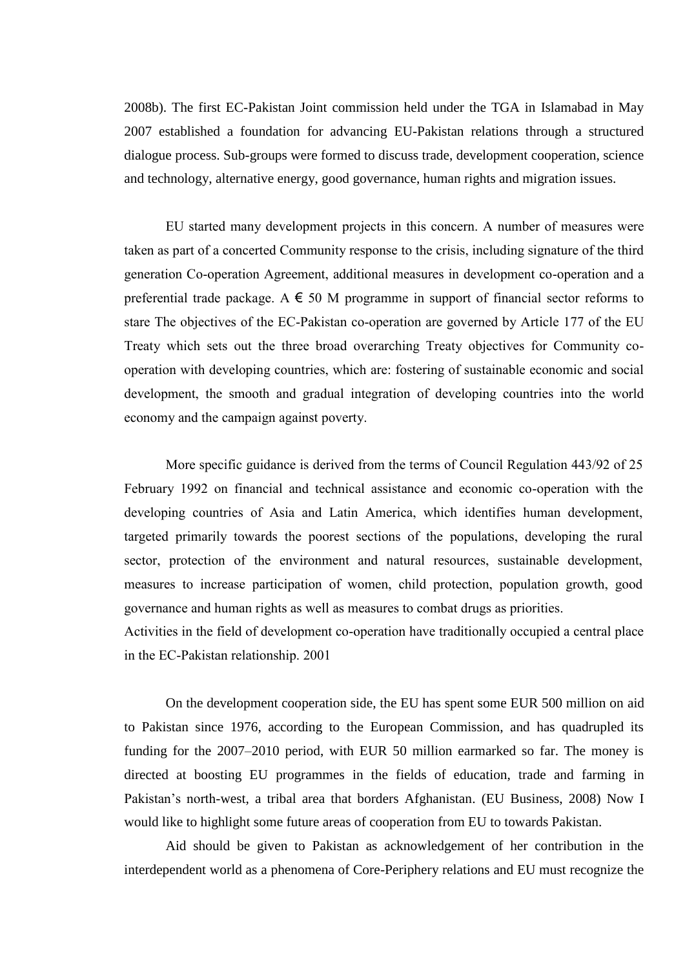2008b). The first EC-Pakistan Joint commission held under the TGA in Islamabad in May 2007 established a foundation for advancing EU-Pakistan relations through a structured dialogue process. Sub-groups were formed to discuss trade, development cooperation, science and technology, alternative energy, good governance, human rights and migration issues.

EU started many development projects in this concern. A number of measures were taken as part of a concerted Community response to the crisis, including signature of the third generation Co-operation Agreement, additional measures in development co-operation and a preferential trade package. A  $\epsilon$  50 M programme in support of financial sector reforms to stare The objectives of the EC-Pakistan co-operation are governed by Article 177 of the EU Treaty which sets out the three broad overarching Treaty objectives for Community cooperation with developing countries, which are: fostering of sustainable economic and social development, the smooth and gradual integration of developing countries into the world economy and the campaign against poverty.

More specific guidance is derived from the terms of Council Regulation 443/92 of 25 February 1992 on financial and technical assistance and economic co-operation with the developing countries of Asia and Latin America, which identifies human development, targeted primarily towards the poorest sections of the populations, developing the rural sector, protection of the environment and natural resources, sustainable development, measures to increase participation of women, child protection, population growth, good governance and human rights as well as measures to combat drugs as priorities.

Activities in the field of development co-operation have traditionally occupied a central place in the EC-Pakistan relationship. 2001

On the development cooperation side, the EU has spent some EUR 500 million on aid to Pakistan since 1976, according to the European Commission, and has quadrupled its funding for the 2007–2010 period, with EUR 50 million earmarked so far. The money is directed at boosting EU programmes in the fields of education, trade and farming in Pakistan's north-west, a tribal area that borders Afghanistan. (EU Business, 2008) Now I would like to highlight some future areas of cooperation from EU to towards Pakistan.

Aid should be given to Pakistan as acknowledgement of her contribution in the interdependent world as a phenomena of Core-Periphery relations and EU must recognize the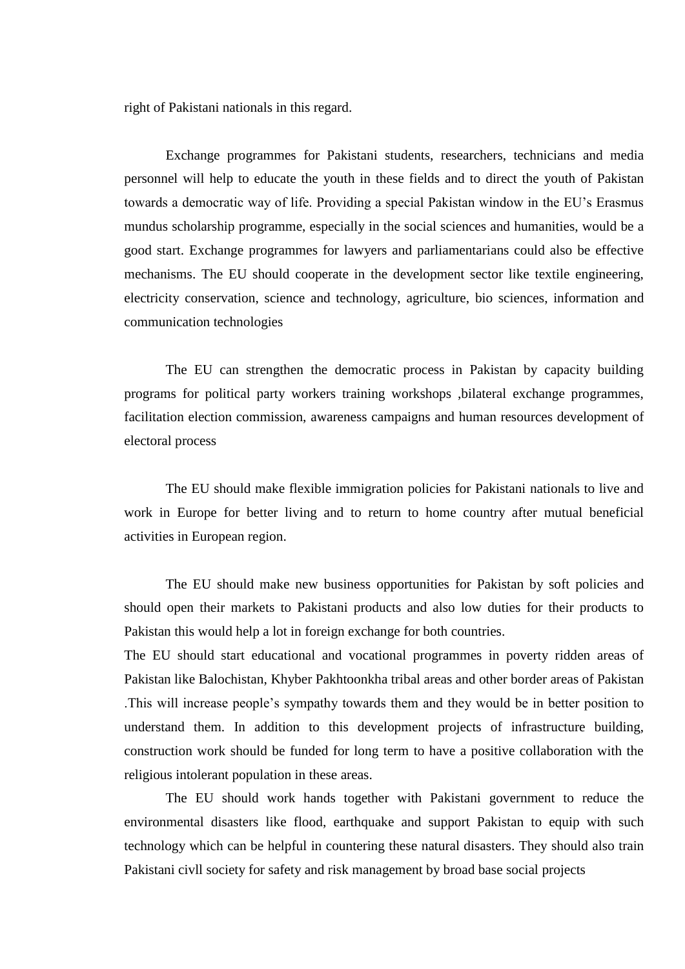right of Pakistani nationals in this regard.

Exchange programmes for Pakistani students, researchers, technicians and media personnel will help to educate the youth in these fields and to direct the youth of Pakistan towards a democratic way of life. Providing a special Pakistan window in the EU's Erasmus mundus scholarship programme, especially in the social sciences and humanities, would be a good start. Exchange programmes for lawyers and parliamentarians could also be effective mechanisms. The EU should cooperate in the development sector like textile engineering, electricity conservation, science and technology, agriculture, bio sciences, information and communication technologies

The EU can strengthen the democratic process in Pakistan by capacity building programs for political party workers training workshops ,bilateral exchange programmes, facilitation election commission, awareness campaigns and human resources development of electoral process

The EU should make flexible immigration policies for Pakistani nationals to live and work in Europe for better living and to return to home country after mutual beneficial activities in European region.

The EU should make new business opportunities for Pakistan by soft policies and should open their markets to Pakistani products and also low duties for their products to Pakistan this would help a lot in foreign exchange for both countries.

The EU should start educational and vocational programmes in poverty ridden areas of Pakistan like Balochistan, Khyber Pakhtoonkha tribal areas and other border areas of Pakistan .This will increase people's sympathy towards them and they would be in better position to understand them. In addition to this development projects of infrastructure building, construction work should be funded for long term to have a positive collaboration with the religious intolerant population in these areas.

The EU should work hands together with Pakistani government to reduce the environmental disasters like flood, earthquake and support Pakistan to equip with such technology which can be helpful in countering these natural disasters. They should also train Pakistani civll society for safety and risk management by broad base social projects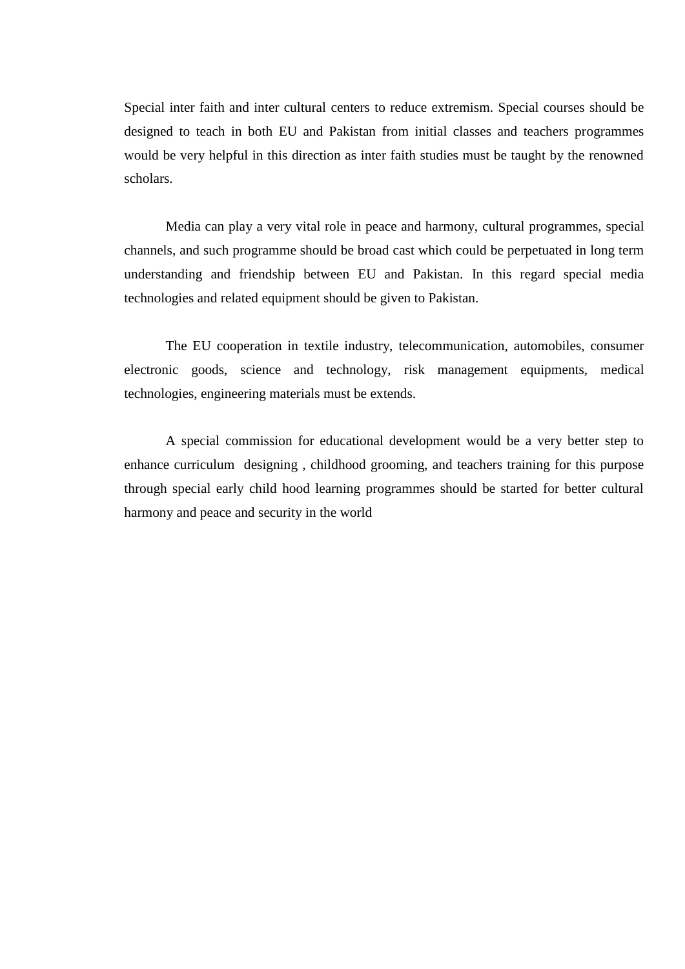Special inter faith and inter cultural centers to reduce extremism. Special courses should be designed to teach in both EU and Pakistan from initial classes and teachers programmes would be very helpful in this direction as inter faith studies must be taught by the renowned scholars.

Media can play a very vital role in peace and harmony, cultural programmes, special channels, and such programme should be broad cast which could be perpetuated in long term understanding and friendship between EU and Pakistan. In this regard special media technologies and related equipment should be given to Pakistan.

The EU cooperation in textile industry, telecommunication, automobiles, consumer electronic goods, science and technology, risk management equipments, medical technologies, engineering materials must be extends.

A special commission for educational development would be a very better step to enhance curriculum designing , childhood grooming, and teachers training for this purpose through special early child hood learning programmes should be started for better cultural harmony and peace and security in the world